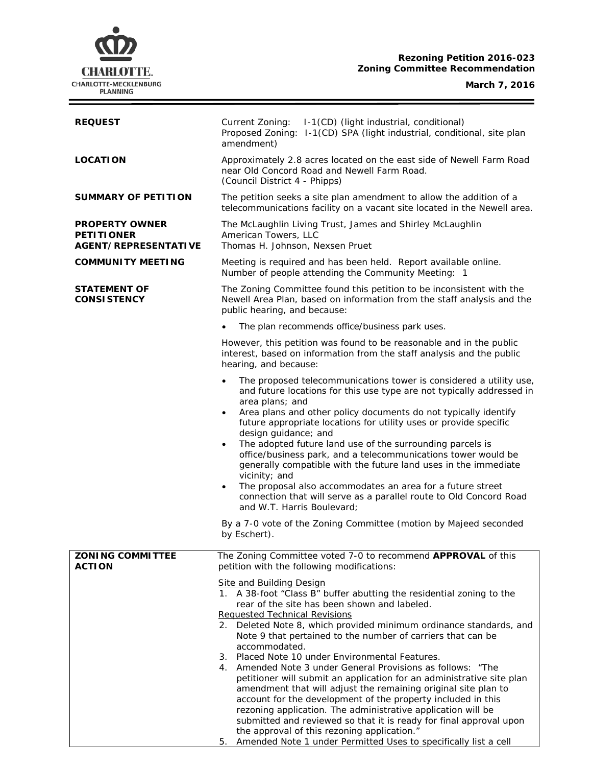# **Rezoning Petition 2016-023 Zoning Committee Recommendation**



Ξ

| <b>REQUEST</b>                                                            | Current Zoning: I-1(CD) (light industrial, conditional)<br>Proposed Zoning: I-1(CD) SPA (light industrial, conditional, site plan<br>amendment)                                                                                        |  |  |
|---------------------------------------------------------------------------|----------------------------------------------------------------------------------------------------------------------------------------------------------------------------------------------------------------------------------------|--|--|
| <b>LOCATION</b>                                                           | Approximately 2.8 acres located on the east side of Newell Farm Road<br>near Old Concord Road and Newell Farm Road.<br>(Council District 4 - Phipps)                                                                                   |  |  |
| <b>SUMMARY OF PETITION</b>                                                | The petition seeks a site plan amendment to allow the addition of a<br>telecommunications facility on a vacant site located in the Newell area.                                                                                        |  |  |
| <b>PROPERTY OWNER</b><br><b>PETITIONER</b><br><b>AGENT/REPRESENTATIVE</b> | The McLaughlin Living Trust, James and Shirley McLaughlin<br>American Towers, LLC<br>Thomas H. Johnson, Nexsen Pruet                                                                                                                   |  |  |
| <b>COMMUNITY MEETING</b>                                                  | Meeting is required and has been held. Report available online.<br>Number of people attending the Community Meeting: 1                                                                                                                 |  |  |
| <b>STATEMENT OF</b><br><b>CONSISTENCY</b>                                 | The Zoning Committee found this petition to be inconsistent with the<br>Newell Area Plan, based on information from the staff analysis and the<br>public hearing, and because:                                                         |  |  |
|                                                                           | The plan recommends office/business park uses.                                                                                                                                                                                         |  |  |
|                                                                           | However, this petition was found to be reasonable and in the public<br>interest, based on information from the staff analysis and the public<br>hearing, and because:                                                                  |  |  |
|                                                                           | The proposed telecommunications tower is considered a utility use,<br>$\bullet$<br>and future locations for this use type are not typically addressed in<br>area plans; and                                                            |  |  |
|                                                                           | Area plans and other policy documents do not typically identify<br>future appropriate locations for utility uses or provide specific<br>design guidance; and<br>The adopted future land use of the surrounding parcels is<br>$\bullet$ |  |  |
|                                                                           | office/business park, and a telecommunications tower would be<br>generally compatible with the future land uses in the immediate<br>vicinity; and                                                                                      |  |  |
|                                                                           | The proposal also accommodates an area for a future street<br>$\bullet$<br>connection that will serve as a parallel route to Old Concord Road<br>and W.T. Harris Boulevard;                                                            |  |  |
|                                                                           | By a 7-0 vote of the Zoning Committee (motion by Majeed seconded<br>by Eschert).                                                                                                                                                       |  |  |
| <b>ZONING COMMITTEE</b><br><b>ACTION</b>                                  | The Zoning Committee voted 7-0 to recommend APPROVAL of this<br>petition with the following modifications:                                                                                                                             |  |  |
|                                                                           | Site and Building Design                                                                                                                                                                                                               |  |  |
|                                                                           | 1. A 38-foot "Class B" buffer abutting the residential zoning to the<br>rear of the site has been shown and labeled.                                                                                                                   |  |  |
|                                                                           | <b>Requested Technical Revisions</b>                                                                                                                                                                                                   |  |  |
|                                                                           | 2. Deleted Note 8, which provided minimum ordinance standards, and<br>Note 9 that pertained to the number of carriers that can be<br>accommodated.                                                                                     |  |  |
|                                                                           | 3. Placed Note 10 under Environmental Features.                                                                                                                                                                                        |  |  |
|                                                                           | 4. Amended Note 3 under General Provisions as follows: "The<br>petitioner will submit an application for an administrative site plan                                                                                                   |  |  |
|                                                                           | amendment that will adjust the remaining original site plan to                                                                                                                                                                         |  |  |
|                                                                           | account for the development of the property included in this<br>rezoning application. The administrative application will be                                                                                                           |  |  |
|                                                                           | submitted and reviewed so that it is ready for final approval upon<br>the approval of this rezoning application."                                                                                                                      |  |  |
|                                                                           | 5. Amended Note 1 under Permitted Uses to specifically list a cell                                                                                                                                                                     |  |  |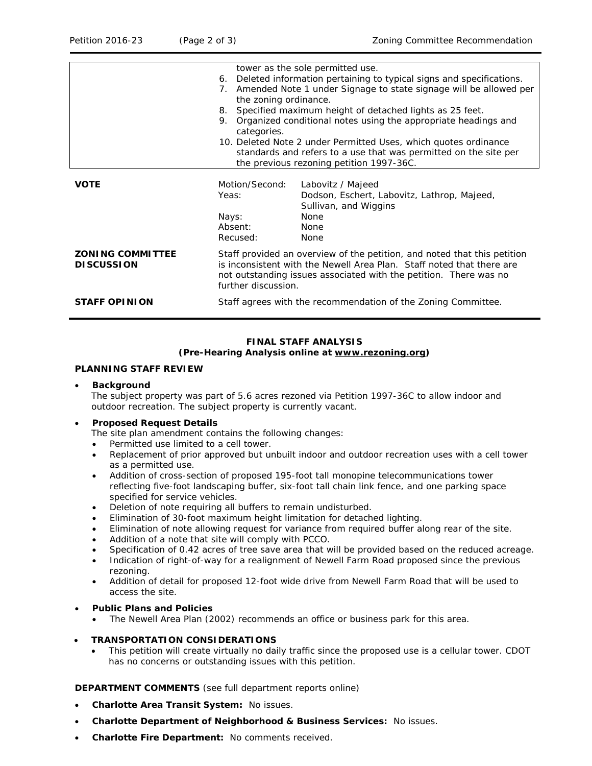|                                              |                                                                                                                                                                                                                                                       | tower as the sole permitted use.                                                                             |  |  |
|----------------------------------------------|-------------------------------------------------------------------------------------------------------------------------------------------------------------------------------------------------------------------------------------------------------|--------------------------------------------------------------------------------------------------------------|--|--|
|                                              | Deleted information pertaining to typical signs and specifications.<br>6.                                                                                                                                                                             |                                                                                                              |  |  |
|                                              | 7.                                                                                                                                                                                                                                                    | Amended Note 1 under Signage to state signage will be allowed per                                            |  |  |
|                                              |                                                                                                                                                                                                                                                       | the zoning ordinance.                                                                                        |  |  |
|                                              | Specified maximum height of detached lights as 25 feet.<br>8.                                                                                                                                                                                         |                                                                                                              |  |  |
|                                              | 9.                                                                                                                                                                                                                                                    | Organized conditional notes using the appropriate headings and                                               |  |  |
|                                              | categories.                                                                                                                                                                                                                                           |                                                                                                              |  |  |
|                                              | 10. Deleted Note 2 under Permitted Uses, which quotes ordinance                                                                                                                                                                                       |                                                                                                              |  |  |
|                                              |                                                                                                                                                                                                                                                       | standards and refers to a use that was permitted on the site per<br>the previous rezoning petition 1997-36C. |  |  |
|                                              |                                                                                                                                                                                                                                                       |                                                                                                              |  |  |
| <b>VOTE</b>                                  | Motion/Second:                                                                                                                                                                                                                                        | Labovitz / Majeed                                                                                            |  |  |
|                                              | Yeas:                                                                                                                                                                                                                                                 | Dodson, Eschert, Labovitz, Lathrop, Majeed,                                                                  |  |  |
|                                              |                                                                                                                                                                                                                                                       | Sullivan, and Wiggins                                                                                        |  |  |
|                                              | Nays:                                                                                                                                                                                                                                                 | None                                                                                                         |  |  |
|                                              | Absent:                                                                                                                                                                                                                                               | <b>None</b>                                                                                                  |  |  |
|                                              | Recused:                                                                                                                                                                                                                                              | None                                                                                                         |  |  |
| <b>ZONING COMMITTEE</b><br><b>DISCUSSION</b> | Staff provided an overview of the petition, and noted that this petition<br>is inconsistent with the <i>Newell Area Plan</i> . Staff noted that there are<br>not outstanding issues associated with the petition. There was no<br>further discussion. |                                                                                                              |  |  |
| <b>STAFF OPINION</b>                         | Staff agrees with the recommendation of the Zoning Committee.                                                                                                                                                                                         |                                                                                                              |  |  |

#### **FINAL STAFF ANALYSIS (Pre-Hearing Analysis online at [www.rezoning.org\)](http://www.rezoning.org/)**

# **PLANNING STAFF REVIEW**

## • **Background**

The subject property was part of 5.6 acres rezoned via Petition 1997-36C to allow indoor and outdoor recreation. The subject property is currently vacant*.*

## • **Proposed Request Details**

The site plan amendment contains the following changes:

- Permitted use limited to a cell tower.
- Replacement of prior approved but unbuilt indoor and outdoor recreation uses with a cell tower as a permitted use.
- Addition of cross-section of proposed 195-foot tall monopine telecommunications tower reflecting five-foot landscaping buffer, six-foot tall chain link fence, and one parking space specified for service vehicles.
- Deletion of note requiring all buffers to remain undisturbed.
- Elimination of 30-foot maximum height limitation for detached lighting.
- Elimination of note allowing request for variance from required buffer along rear of the site.
- Addition of a note that site will comply with PCCO.
- Specification of 0.42 acres of tree save area that will be provided based on the reduced acreage.
- Indication of right-of-way for a realignment of Newell Farm Road proposed since the previous rezoning.
- Addition of detail for proposed 12-foot wide drive from Newell Farm Road that will be used to access the site.

### • **Public Plans and Policies**

- The *Newell Area Plan* (2002) recommends an office or business park for this area.
- **TRANSPORTATION CONSIDERATIONS**
	- This petition will create virtually no daily traffic since the proposed use is a cellular tower. CDOT has no concerns or outstanding issues with this petition.

**DEPARTMENT COMMENTS** (see full department reports online)

- **Charlotte Area Transit System:** No issues.
- **Charlotte Department of Neighborhood & Business Services:** No issues.
- **Charlotte Fire Department:** No comments received.